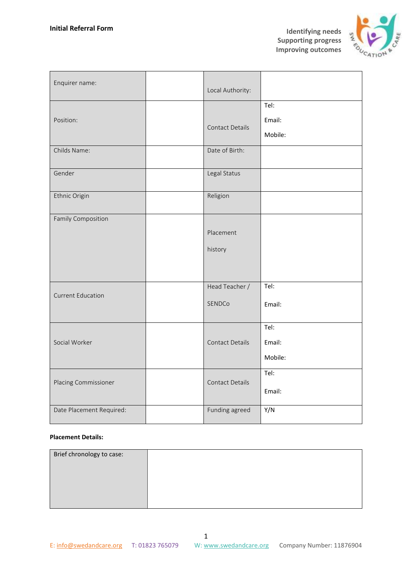**Identifying needs Supporting progress Improving outcomes**



| Enquirer name:           | Local Authority:         |                           |
|--------------------------|--------------------------|---------------------------|
| Position:                | <b>Contact Details</b>   | Tel:<br>Email:<br>Mobile: |
| Childs Name:             | Date of Birth:           |                           |
| Gender                   | Legal Status             |                           |
| Ethnic Origin            | Religion                 |                           |
| Family Composition       | Placement<br>history     |                           |
| <b>Current Education</b> | Head Teacher /<br>SENDCo | Tel:<br>Email:            |
| Social Worker            | <b>Contact Details</b>   | Tel:<br>Email:<br>Mobile: |
| Placing Commissioner     | Contact Details          | Tel:<br>Email:            |
| Date Placement Required: | Funding agreed           | Y/N                       |

## **Placement Details:**

| Brief chronology to case: |  |
|---------------------------|--|
|                           |  |
|                           |  |
|                           |  |
|                           |  |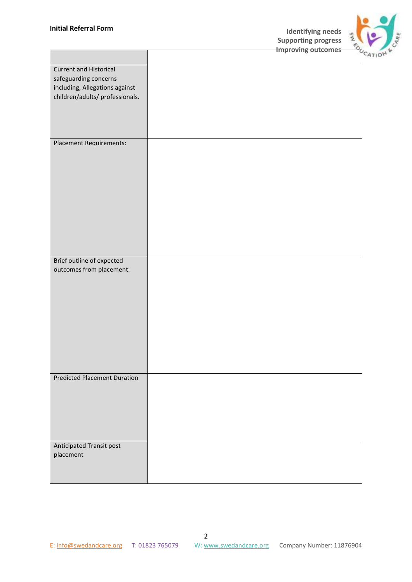

|                                                                                                                             | <b>Improving outcomes</b> |
|-----------------------------------------------------------------------------------------------------------------------------|---------------------------|
| <b>Current and Historical</b><br>safeguarding concerns<br>including, Allegations against<br>children/adults/ professionals. |                           |
| Placement Requirements:                                                                                                     |                           |
| Brief outline of expected<br>outcomes from placement:                                                                       |                           |
| <b>Predicted Placement Duration</b>                                                                                         |                           |
| Anticipated Transit post<br>placement                                                                                       |                           |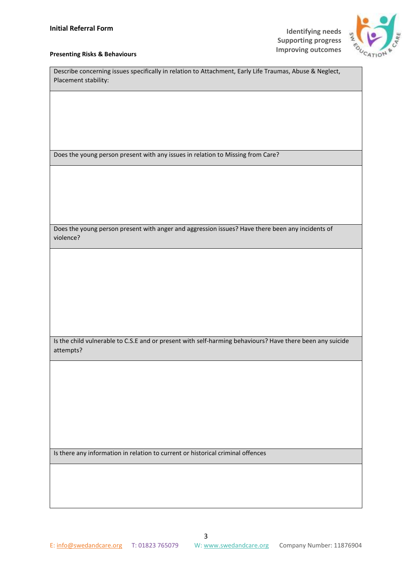

## **Improving outcomes Presenting Risks & Behaviours**

| Describe concerning issues specifically in relation to Attachment, Early Life Traumas, Abuse & Neglect,<br>Placement stability: |  |  |
|---------------------------------------------------------------------------------------------------------------------------------|--|--|
|                                                                                                                                 |  |  |
|                                                                                                                                 |  |  |
|                                                                                                                                 |  |  |
|                                                                                                                                 |  |  |
|                                                                                                                                 |  |  |
| Does the young person present with any issues in relation to Missing from Care?                                                 |  |  |
|                                                                                                                                 |  |  |
|                                                                                                                                 |  |  |
|                                                                                                                                 |  |  |
|                                                                                                                                 |  |  |
|                                                                                                                                 |  |  |
| Does the young person present with anger and aggression issues? Have there been any incidents of                                |  |  |
| violence?                                                                                                                       |  |  |
|                                                                                                                                 |  |  |
|                                                                                                                                 |  |  |
|                                                                                                                                 |  |  |
|                                                                                                                                 |  |  |
|                                                                                                                                 |  |  |
|                                                                                                                                 |  |  |
|                                                                                                                                 |  |  |
| Is the child vulnerable to C.S.E and or present with self-harming behaviours? Have there been any suicide                       |  |  |
| attempts?                                                                                                                       |  |  |
|                                                                                                                                 |  |  |
|                                                                                                                                 |  |  |
|                                                                                                                                 |  |  |
|                                                                                                                                 |  |  |
|                                                                                                                                 |  |  |
|                                                                                                                                 |  |  |
|                                                                                                                                 |  |  |
|                                                                                                                                 |  |  |
| Is there any information in relation to current or historical criminal offences                                                 |  |  |
|                                                                                                                                 |  |  |
|                                                                                                                                 |  |  |
|                                                                                                                                 |  |  |
|                                                                                                                                 |  |  |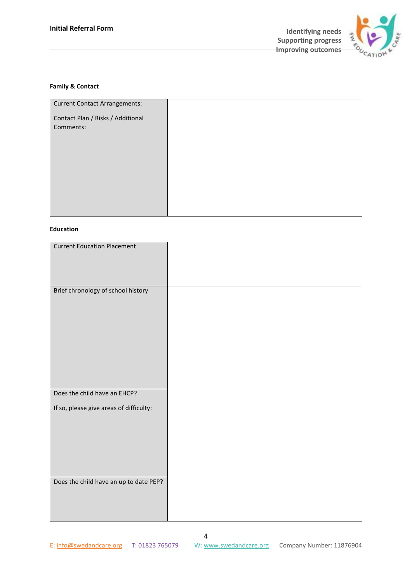

## **Family & Contact**

| <b>Current Contact Arrangements:</b>           |  |
|------------------------------------------------|--|
|                                                |  |
| Contact Plan / Risks / Additional<br>Comments: |  |
|                                                |  |
|                                                |  |
|                                                |  |
|                                                |  |
|                                                |  |
|                                                |  |
|                                                |  |
|                                                |  |
|                                                |  |
|                                                |  |
|                                                |  |

## **Education**

| <b>Current Education Placement</b>      |  |
|-----------------------------------------|--|
|                                         |  |
|                                         |  |
|                                         |  |
|                                         |  |
|                                         |  |
|                                         |  |
| Brief chronology of school history      |  |
|                                         |  |
|                                         |  |
|                                         |  |
|                                         |  |
|                                         |  |
|                                         |  |
|                                         |  |
|                                         |  |
|                                         |  |
|                                         |  |
|                                         |  |
|                                         |  |
|                                         |  |
|                                         |  |
|                                         |  |
|                                         |  |
| Does the child have an EHCP?            |  |
|                                         |  |
|                                         |  |
| If so, please give areas of difficulty: |  |
|                                         |  |
|                                         |  |
|                                         |  |
|                                         |  |
|                                         |  |
|                                         |  |
|                                         |  |
|                                         |  |
|                                         |  |
|                                         |  |
|                                         |  |
| Does the child have an up to date PEP?  |  |
|                                         |  |
|                                         |  |
|                                         |  |
|                                         |  |
|                                         |  |